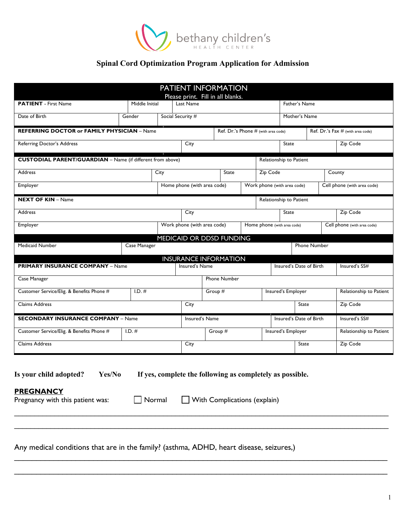

# **Spinal Cord Optimization Program Application for Admission**

|                                                                                                                                                                                                                                                                                            |                |      | PATIENT INFORMATION<br>Please print. Fill in all blanks. |                   |                                     |                    |          |                             |                         |  |                                   |
|--------------------------------------------------------------------------------------------------------------------------------------------------------------------------------------------------------------------------------------------------------------------------------------------|----------------|------|----------------------------------------------------------|-------------------|-------------------------------------|--------------------|----------|-----------------------------|-------------------------|--|-----------------------------------|
| <b>PATIENT</b> - First Name                                                                                                                                                                                                                                                                | Middle Initial |      | Last Name                                                |                   |                                     |                    |          | Father's Name               |                         |  |                                   |
| Date of Birth                                                                                                                                                                                                                                                                              | Gender         |      | Social Security #                                        |                   |                                     |                    |          | Mother's Name               |                         |  |                                   |
| <b>REFERRING DOCTOR or FAMILY PHYSICIAN - Name</b>                                                                                                                                                                                                                                         |                |      |                                                          |                   | Ref. Dr.'s Phone # (with area code) |                    |          |                             |                         |  | Ref. Dr.'s Fax # (with area code) |
| Referring Doctor's Address                                                                                                                                                                                                                                                                 |                |      | City                                                     |                   |                                     |                    |          | State                       |                         |  | Zip Code                          |
| <b>CUSTODIAL PARENT/GUARDIAN</b> - Name (if different from above)                                                                                                                                                                                                                          |                |      |                                                          |                   |                                     |                    |          | Relationship to Patient     |                         |  |                                   |
| <b>Address</b>                                                                                                                                                                                                                                                                             |                | City |                                                          |                   | State                               |                    | Zip Code |                             |                         |  | County                            |
| Employer                                                                                                                                                                                                                                                                                   |                |      | Home phone (with area code)                              |                   |                                     |                    |          | Work phone (with area code) |                         |  | Cell phone (with area code)       |
| <b>NEXT OF KIN - Name</b>                                                                                                                                                                                                                                                                  |                |      |                                                          |                   |                                     |                    |          | Relationship to Patient     |                         |  |                                   |
| <b>Address</b>                                                                                                                                                                                                                                                                             |                |      | City                                                     |                   |                                     |                    |          | <b>State</b>                |                         |  | Zip Code                          |
| Employer                                                                                                                                                                                                                                                                                   |                |      | Work phone (with area code)                              |                   |                                     |                    |          | Home phone (with area code) |                         |  | Cell phone (with area code)       |
|                                                                                                                                                                                                                                                                                            |                |      | MEDICAID OR DDSD FUNDING                                 |                   |                                     |                    |          |                             |                         |  |                                   |
| Medicaid Number                                                                                                                                                                                                                                                                            | Case Manager   |      |                                                          |                   |                                     |                    |          |                             | <b>Phone Number</b>     |  |                                   |
| <b>PRIMARY INSURANCE COMPANY - Name</b>                                                                                                                                                                                                                                                    |                |      | <b>INSURANCE INFORMATION</b><br>Insured's Name           |                   |                                     |                    |          | Insured's Date of Birth     |                         |  | Insured's SS#                     |
| Case Manager                                                                                                                                                                                                                                                                               |                |      |                                                          |                   | <b>Phone Number</b>                 |                    |          |                             |                         |  |                                   |
| Customer Service/Elig. & Benefits Phone #                                                                                                                                                                                                                                                  | $I.D.$ #       |      |                                                          | Group #           |                                     | Insured's Employer |          |                             | Relationship to Patient |  |                                   |
| Claims Address                                                                                                                                                                                                                                                                             |                | City |                                                          | Zip Code<br>State |                                     |                    |          |                             |                         |  |                                   |
| <b>SECONDARY INSURANCE COMPANY - Name</b>                                                                                                                                                                                                                                                  |                |      | Insured's Name                                           |                   |                                     |                    |          | Insured's Date of Birth     |                         |  | Insured's SS#                     |
| Customer Service/Elig. & Benefits Phone #                                                                                                                                                                                                                                                  | $I.D.$ #       |      |                                                          |                   | Group #                             |                    |          | Insured's Employer          |                         |  | Relationship to Patient           |
| Claims Address                                                                                                                                                                                                                                                                             |                |      | City                                                     |                   |                                     | State              |          | Zip Code                    |                         |  |                                   |
| Yes/No<br>If yes, complete the following as completely as possible.<br>Is your child adopted?<br><b>PREGNANCY</b><br>Normal<br>With Complications (explain)<br>Pregnancy with this patient was:<br>Any medical conditions that are in the family? (asthma, ADHD, heart disease, seizures,) |                |      |                                                          |                   |                                     |                    |          |                             |                         |  |                                   |
|                                                                                                                                                                                                                                                                                            |                |      |                                                          |                   |                                     |                    |          |                             |                         |  |                                   |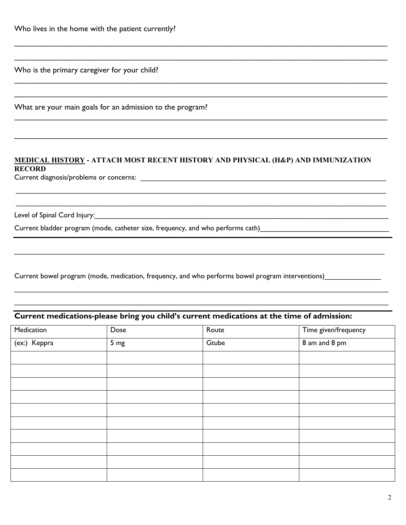Who is the primary caregiver for your child?

What are your main goals for an admission to the program?

### **MEDICAL HISTORY - ATTACH MOST RECENT HISTORY AND PHYSICAL (H&P) AND IMMUNIZATION RECORD**

 $\_$  , and the set of the set of the set of the set of the set of the set of the set of the set of the set of the set of the set of the set of the set of the set of the set of the set of the set of the set of the set of th

 $\_$  , and the set of the set of the set of the set of the set of the set of the set of the set of the set of the set of the set of the set of the set of the set of the set of the set of the set of the set of the set of th

 $\mathcal{L}_\mathcal{L} = \{ \mathcal{L}_\mathcal{L} = \{ \mathcal{L}_\mathcal{L} = \{ \mathcal{L}_\mathcal{L} = \{ \mathcal{L}_\mathcal{L} = \{ \mathcal{L}_\mathcal{L} = \{ \mathcal{L}_\mathcal{L} = \{ \mathcal{L}_\mathcal{L} = \{ \mathcal{L}_\mathcal{L} = \{ \mathcal{L}_\mathcal{L} = \{ \mathcal{L}_\mathcal{L} = \{ \mathcal{L}_\mathcal{L} = \{ \mathcal{L}_\mathcal{L} = \{ \mathcal{L}_\mathcal{L} = \{ \mathcal{L}_\mathcal{$ 

 $\_$  , and the set of the set of the set of the set of the set of the set of the set of the set of the set of the set of the set of the set of the set of the set of the set of the set of the set of the set of the set of th

 $\_$  , and the set of the set of the set of the set of the set of the set of the set of the set of the set of the set of the set of the set of the set of the set of the set of the set of the set of the set of the set of th

 $\_$  , and the set of the set of the set of the set of the set of the set of the set of the set of the set of the set of the set of the set of the set of the set of the set of the set of the set of the set of the set of th

 $\mathcal{L}_\mathcal{L} = \{ \mathcal{L}_\mathcal{L} = \{ \mathcal{L}_\mathcal{L} = \{ \mathcal{L}_\mathcal{L} = \{ \mathcal{L}_\mathcal{L} = \{ \mathcal{L}_\mathcal{L} = \{ \mathcal{L}_\mathcal{L} = \{ \mathcal{L}_\mathcal{L} = \{ \mathcal{L}_\mathcal{L} = \{ \mathcal{L}_\mathcal{L} = \{ \mathcal{L}_\mathcal{L} = \{ \mathcal{L}_\mathcal{L} = \{ \mathcal{L}_\mathcal{L} = \{ \mathcal{L}_\mathcal{L} = \{ \mathcal{L}_\mathcal{$ 

 $\_$  , and the set of the set of the set of the set of the set of the set of the set of the set of the set of the set of the set of the set of the set of the set of the set of the set of the set of the set of the set of th

 $\_$  ,  $\_$  ,  $\_$  ,  $\_$  ,  $\_$  ,  $\_$  ,  $\_$  ,  $\_$  ,  $\_$  ,  $\_$  ,  $\_$  ,  $\_$  ,  $\_$  ,  $\_$  ,  $\_$  ,  $\_$  ,  $\_$  ,  $\_$  ,  $\_$  ,  $\_$  ,  $\_$  ,  $\_$  ,  $\_$  ,  $\_$  ,  $\_$  ,  $\_$  ,  $\_$  ,  $\_$  ,  $\_$  ,  $\_$  ,  $\_$  ,  $\_$  ,  $\_$  ,  $\_$  ,  $\_$  ,  $\_$  ,  $\_$  ,  $\_$  ,  $\_$  ,  $\_$  ,  $\_$  ,  $\_$  ,  $\_$  ,  $\_$  ,  $\_$  ,  $\_$  ,  $\_$  ,  $\_$  ,  $\_$  ,  $\_$  ,  $\_$  ,  $\_$  ,  $\_$  ,  $\_$  ,  $\_$  ,  $\_$  ,  $\_$  ,  $\_$  ,  $\_$  ,  $\_$  ,  $\_$  ,  $\_$  ,  $\_$  ,  $\_$  ,  $\_$  ,  $\_$  ,  $\_$  ,  $\_$  ,  $\_$  ,  $\_$  ,  $\_$  ,  $\_$  ,  $\_$  ,  $\_$  ,

Current diagnosis/problems or concerns: \_\_\_\_\_\_\_\_\_\_\_\_\_\_\_\_\_\_\_\_\_\_\_\_\_\_\_\_\_\_\_\_\_\_\_\_\_\_\_\_\_\_\_\_\_\_\_\_\_\_\_\_\_\_\_\_\_\_\_\_\_

Level of Spinal Cord Injury:

Current bladder program (mode, catheter size, frequency, and who performs cath)\_\_\_\_\_\_\_\_\_\_\_\_\_\_\_\_\_\_\_\_\_\_\_\_\_\_\_\_\_\_\_

Current bowel program (mode, medication, frequency, and who performs bowel program interventions)

## **Current medications-please bring you child's current medications at the time of admission:**

| Medication   | Dose            | Route | Time given/frequency |
|--------------|-----------------|-------|----------------------|
| (ex:) Keppra | 5 <sub>mg</sub> | Gtube | 8 am and 8 pm        |
|              |                 |       |                      |
|              |                 |       |                      |
|              |                 |       |                      |
|              |                 |       |                      |
|              |                 |       |                      |
|              |                 |       |                      |
|              |                 |       |                      |
|              |                 |       |                      |
|              |                 |       |                      |
|              |                 |       |                      |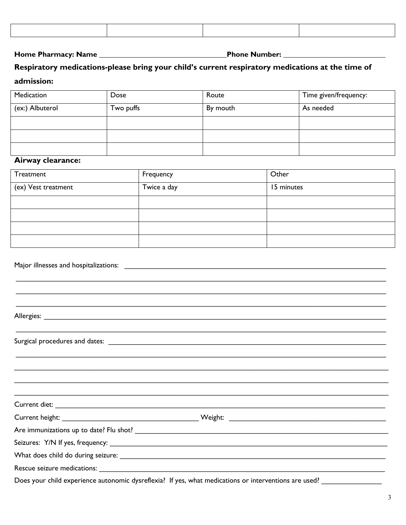#### 

## Respiratory medications-please bring your child's current respiratory medications at the time of admission:

| Medication      | Dose      | Route    | Time given/frequency: |
|-----------------|-----------|----------|-----------------------|
| (ex:) Albuterol | Two puffs | By mouth | As needed             |
|                 |           |          |                       |
|                 |           |          |                       |
|                 |           |          |                       |

### Airway clearance:

| Treatment           | Frequency   | Other      |
|---------------------|-------------|------------|
| (ex) Vest treatment | Twice a day | 15 minutes |
|                     |             |            |
|                     |             |            |
|                     |             |            |
|                     |             |            |

Major illnesses and hospitalizations: National Contract of the Contract of the Contract of the Contract of the

Allergies: the contract of the contract of the contract of the contract of the contract of the contract of the contract of the contract of the contract of the contract of the contract of the contract of the contract of the

Rescue seizure medications: \_\_\_\_\_

Does your child experience autonomic dysreflexia? If yes, what medications or interventions are used?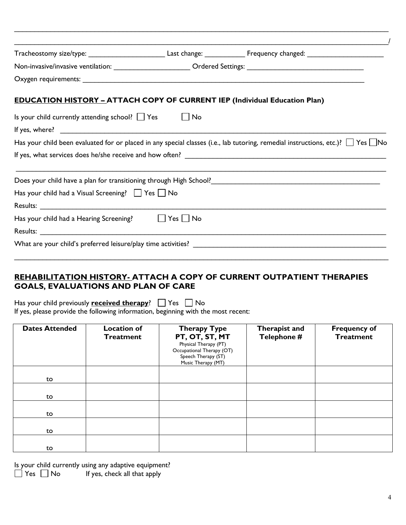|                                                                                   |  | Tracheostomy size/type: ______________________________Last change: ______________ Frequency changed: __________________________________    |
|-----------------------------------------------------------------------------------|--|--------------------------------------------------------------------------------------------------------------------------------------------|
|                                                                                   |  |                                                                                                                                            |
|                                                                                   |  |                                                                                                                                            |
| <b>EDUCATION HISTORY - ATTACH COPY OF CURRENT IEP (Individual Education Plan)</b> |  |                                                                                                                                            |
| Is your child currently attending school? $\Box$ Yes $\Box$ No                    |  |                                                                                                                                            |
|                                                                                   |  |                                                                                                                                            |
|                                                                                   |  | Has your child been evaluated for or placed in any special classes (i.e., lab tutoring, remedial instructions, etc.)? $\Box$ Yes $\Box$ No |
|                                                                                   |  |                                                                                                                                            |
|                                                                                   |  | Does your child have a plan for transitioning through High School? [19] [2012] [2013] [2013] [2013] [2013] [20                             |
| Has your child had a Visual Screening? $\Box$ Yes $\Box$ No                       |  |                                                                                                                                            |
|                                                                                   |  |                                                                                                                                            |
| Has your child had a Hearing Screening? $\Box$ Yes $\Box$ No                      |  |                                                                                                                                            |
|                                                                                   |  |                                                                                                                                            |
|                                                                                   |  |                                                                                                                                            |

 $\_$ 

### **REHABILITATION HISTORY- ATTACH A COPY OF CURRENT OUTPATIENT THERAPIES GOALS, EVALUATIONS AND PLAN OF CARE**

Has your child previously **<u>received therapy</u>?**  $\Box$  **Yes**  $\Box$  **No** If yes, please provide the following information, beginning with the most recent:

| <b>Dates Attended</b> | <b>Location of</b><br><b>Treatment</b> | <b>Therapy Type</b><br>PT, OT, ST, MT<br>Physical Therapy (PT)<br>Occupational Therapy (OT)<br>Speech Therapy (ST)<br>Music Therapy (MT) | Therapist and<br>Telephone # | <b>Frequency of</b><br><b>Treatment</b> |
|-----------------------|----------------------------------------|------------------------------------------------------------------------------------------------------------------------------------------|------------------------------|-----------------------------------------|
| to                    |                                        |                                                                                                                                          |                              |                                         |
|                       |                                        |                                                                                                                                          |                              |                                         |
| to                    |                                        |                                                                                                                                          |                              |                                         |
| to                    |                                        |                                                                                                                                          |                              |                                         |
| to                    |                                        |                                                                                                                                          |                              |                                         |
| to                    |                                        |                                                                                                                                          |                              |                                         |

|                      | Is your child currently using any adaptive equipment? |
|----------------------|-------------------------------------------------------|
| $\Box$ Yes $\Box$ No | If yes, check all that apply                          |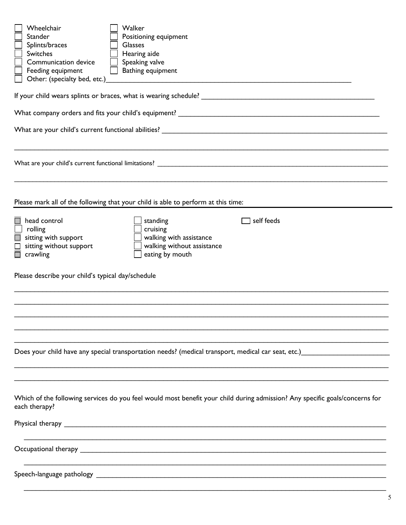| Wheelchair<br>Walker<br><b>Stander</b><br>Positioning equipment<br>Splints/braces<br><b>Glasses</b><br>Switches<br>Hearing aide<br>Speaking valve<br>Communication device<br>Bathing equipment<br>Feeding equipment<br>Other: (specialty bed, etc.)                  |  |  |  |  |  |  |
|----------------------------------------------------------------------------------------------------------------------------------------------------------------------------------------------------------------------------------------------------------------------|--|--|--|--|--|--|
|                                                                                                                                                                                                                                                                      |  |  |  |  |  |  |
|                                                                                                                                                                                                                                                                      |  |  |  |  |  |  |
|                                                                                                                                                                                                                                                                      |  |  |  |  |  |  |
|                                                                                                                                                                                                                                                                      |  |  |  |  |  |  |
| Please mark all of the following that your child is able to perform at this time:                                                                                                                                                                                    |  |  |  |  |  |  |
| head control<br>self feeds<br>standing<br>rolling<br>cruising<br>sitting with support<br>walking with assistance<br>sitting without support<br>walking without assistance<br>eating by mouth<br>$\Box$ crawling<br>Please describe your child's typical day/schedule |  |  |  |  |  |  |
|                                                                                                                                                                                                                                                                      |  |  |  |  |  |  |
|                                                                                                                                                                                                                                                                      |  |  |  |  |  |  |
|                                                                                                                                                                                                                                                                      |  |  |  |  |  |  |
| Does your child have any special transportation needs? (medical transport, medical car seat, etc.) _______                                                                                                                                                           |  |  |  |  |  |  |
|                                                                                                                                                                                                                                                                      |  |  |  |  |  |  |
| Which of the following services do you feel would most benefit your child during admission? Any specific goals/concerns for<br>each therapy?                                                                                                                         |  |  |  |  |  |  |
|                                                                                                                                                                                                                                                                      |  |  |  |  |  |  |
|                                                                                                                                                                                                                                                                      |  |  |  |  |  |  |
|                                                                                                                                                                                                                                                                      |  |  |  |  |  |  |